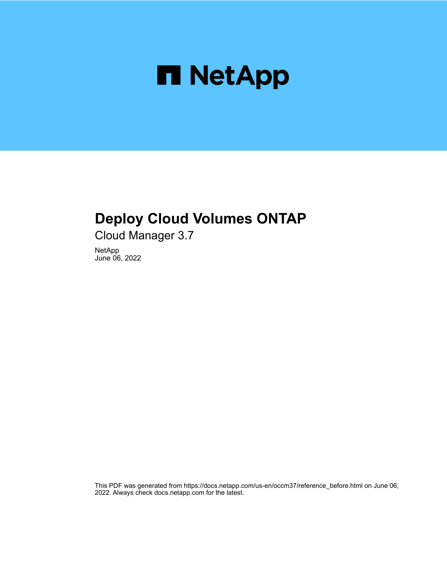

## **Deploy Cloud Volumes ONTAP**

Cloud Manager 3.7

NetApp June 06, 2022

This PDF was generated from https://docs.netapp.com/us-en/occm37/reference\_before.html on June 06, 2022. Always check docs.netapp.com for the latest.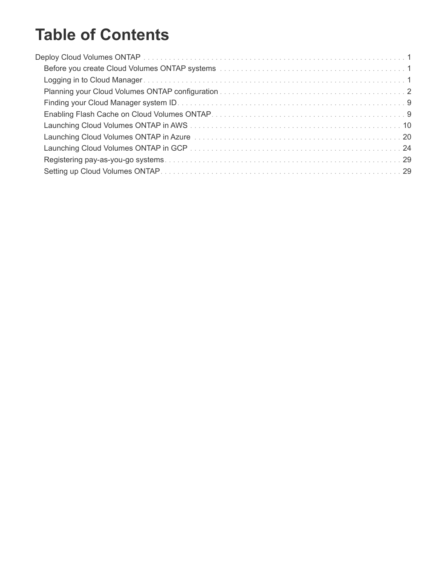# **Table of Contents**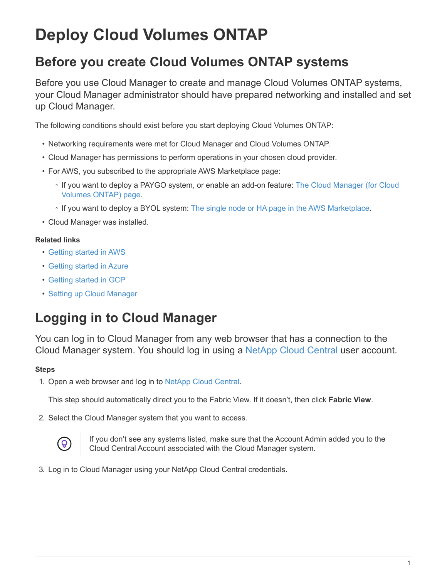# <span id="page-2-0"></span>**Deploy Cloud Volumes ONTAP**

## <span id="page-2-1"></span>**Before you create Cloud Volumes ONTAP systems**

Before you use Cloud Manager to create and manage Cloud Volumes ONTAP systems, your Cloud Manager administrator should have prepared networking and installed and set up Cloud Manager.

The following conditions should exist before you start deploying Cloud Volumes ONTAP:

- Networking requirements were met for Cloud Manager and Cloud Volumes ONTAP.
- Cloud Manager has permissions to perform operations in your chosen cloud provider.
- For AWS, you subscribed to the appropriate AWS Marketplace page:
	- If you want to deploy a PAYGO system, or enable an add-on feature: [The Cloud Manager \(for Cloud](https://aws.amazon.com/marketplace/pp/B07QX2QLXX) [Volumes ONTAP\) page.](https://aws.amazon.com/marketplace/pp/B07QX2QLXX)
	- If you want to deploy a BYOL system: [The single node or HA page in the AWS Marketplace](https://aws.amazon.com/marketplace/search/results?x=0&y=0&searchTerms=cloud+volumes+ontap+byol).
- Cloud Manager was installed.

### **Related links**

- [Getting started in AWS](https://docs.netapp.com/us-en/occm37/task_getting_started_aws.html)
- [Getting started in Azure](https://docs.netapp.com/us-en/occm37/task_getting_started_azure.html)
- [Getting started in GCP](https://docs.netapp.com/us-en/occm37/task_getting_started_gcp.html)
- [Setting up Cloud Manager](https://docs.netapp.com/us-en/occm37/task_setting_up_cloud_manager.html)

## <span id="page-2-2"></span>**Logging in to Cloud Manager**

You can log in to Cloud Manager from any web browser that has a connection to the Cloud Manager system. You should log in using a [NetApp Cloud Central](https://cloud.netapp.com) user account.

### **Steps**

1. Open a web browser and log in to [NetApp Cloud Central](https://cloud.netapp.com).

This step should automatically direct you to the Fabric View. If it doesn't, then click **Fabric View**.

2. Select the Cloud Manager system that you want to access.



If you don't see any systems listed, make sure that the Account Admin added you to the Cloud Central Account associated with the Cloud Manager system.

3. Log in to Cloud Manager using your NetApp Cloud Central credentials.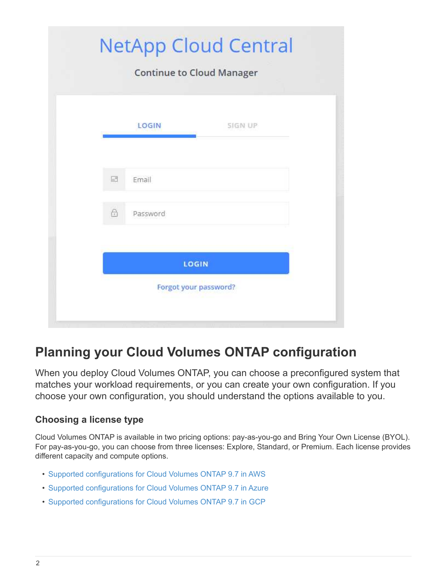|                        |                       | <b>NetApp Cloud Central</b><br><b>Continue to Cloud Manager</b> |  |
|------------------------|-----------------------|-----------------------------------------------------------------|--|
| LOGIN                  |                       | SIGN UP                                                         |  |
| 厨<br>Email             |                       |                                                                 |  |
| $\bigcirc$<br>Password |                       |                                                                 |  |
|                        | LOGIN                 |                                                                 |  |
|                        | Forgot your password? |                                                                 |  |

## <span id="page-3-0"></span>**Planning your Cloud Volumes ONTAP configuration**

When you deploy Cloud Volumes ONTAP, you can choose a preconfigured system that matches your workload requirements, or you can create your own configuration. If you choose your own configuration, you should understand the options available to you.

## **Choosing a license type**

Cloud Volumes ONTAP is available in two pricing options: pay-as-you-go and Bring Your Own License (BYOL). For pay-as-you-go, you can choose from three licenses: Explore, Standard, or Premium. Each license provides different capacity and compute options.

- [Supported configurations for Cloud Volumes ONTAP 9.7 in AWS](https://docs.netapp.com/us-en/cloud-volumes-ontap/reference_configs_aws_97.html)
- [Supported configurations for Cloud Volumes ONTAP 9.7 in Azure](https://docs.netapp.com/us-en/cloud-volumes-ontap/reference_configs_azure_97.html)
- [Supported configurations for Cloud Volumes ONTAP 9.7 in GCP](https://docs.netapp.com/us-en/cloud-volumes-ontap/reference_configs_gcp_97.html)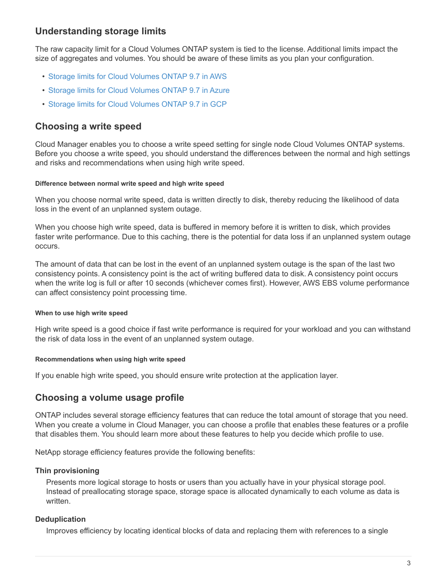### **Understanding storage limits**

The raw capacity limit for a Cloud Volumes ONTAP system is tied to the license. Additional limits impact the size of aggregates and volumes. You should be aware of these limits as you plan your configuration.

- [Storage limits for Cloud Volumes ONTAP 9.7 in AWS](https://docs.netapp.com/us-en/cloud-volumes-ontap/reference_limits_aws_97.html)
- [Storage limits for Cloud Volumes ONTAP 9.7 in Azure](https://docs.netapp.com/us-en/cloud-volumes-ontap/reference_limits_azure_97.html)
- [Storage limits for Cloud Volumes ONTAP 9.7 in GCP](https://docs.netapp.com/us-en/cloud-volumes-ontap/reference_limits_gcp_97.html)

### **Choosing a write speed**

Cloud Manager enables you to choose a write speed setting for single node Cloud Volumes ONTAP systems. Before you choose a write speed, you should understand the differences between the normal and high settings and risks and recommendations when using high write speed.

#### **Difference between normal write speed and high write speed**

When you choose normal write speed, data is written directly to disk, thereby reducing the likelihood of data loss in the event of an unplanned system outage.

When you choose high write speed, data is buffered in memory before it is written to disk, which provides faster write performance. Due to this caching, there is the potential for data loss if an unplanned system outage occurs.

The amount of data that can be lost in the event of an unplanned system outage is the span of the last two consistency points. A consistency point is the act of writing buffered data to disk. A consistency point occurs when the write log is full or after 10 seconds (whichever comes first). However, AWS EBS volume performance can affect consistency point processing time.

### **When to use high write speed**

High write speed is a good choice if fast write performance is required for your workload and you can withstand the risk of data loss in the event of an unplanned system outage.

### **Recommendations when using high write speed**

If you enable high write speed, you should ensure write protection at the application layer.

### **Choosing a volume usage profile**

ONTAP includes several storage efficiency features that can reduce the total amount of storage that you need. When you create a volume in Cloud Manager, you can choose a profile that enables these features or a profile that disables them. You should learn more about these features to help you decide which profile to use.

NetApp storage efficiency features provide the following benefits:

### **Thin provisioning**

Presents more logical storage to hosts or users than you actually have in your physical storage pool. Instead of preallocating storage space, storage space is allocated dynamically to each volume as data is written.

### **Deduplication**

Improves efficiency by locating identical blocks of data and replacing them with references to a single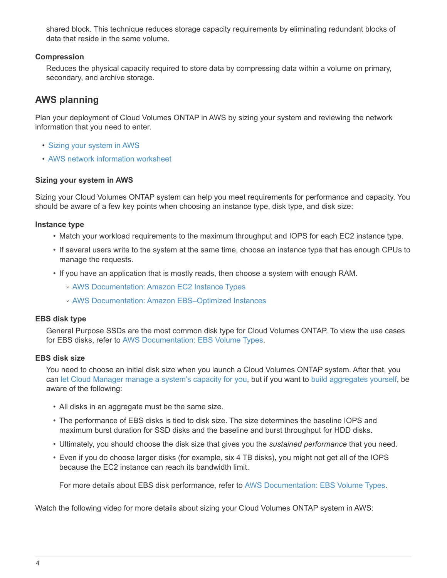shared block. This technique reduces storage capacity requirements by eliminating redundant blocks of data that reside in the same volume.

### **Compression**

Reduces the physical capacity required to store data by compressing data within a volume on primary, secondary, and archive storage.

### **AWS planning**

Plan your deployment of Cloud Volumes ONTAP in AWS by sizing your system and reviewing the network information that you need to enter.

- [Sizing your system in AWS](#page-5-0)
- [AWS network information worksheet](#page-6-0)

### <span id="page-5-0"></span>**Sizing your system in AWS**

Sizing your Cloud Volumes ONTAP system can help you meet requirements for performance and capacity. You should be aware of a few key points when choosing an instance type, disk type, and disk size:

### **Instance type**

- Match your workload requirements to the maximum throughput and IOPS for each EC2 instance type.
- If several users write to the system at the same time, choose an instance type that has enough CPUs to manage the requests.
- If you have an application that is mostly reads, then choose a system with enough RAM.
	- [AWS Documentation: Amazon EC2 Instance Types](https://aws.amazon.com/ec2/instance-types/)
	- [AWS Documentation: Amazon EBS–Optimized Instances](https://docs.aws.amazon.com/AWSEC2/latest/UserGuide/EBSOptimized.html)

### **EBS disk type**

General Purpose SSDs are the most common disk type for Cloud Volumes ONTAP. To view the use cases for EBS disks, refer to [AWS Documentation: EBS Volume Types.](http://docs.aws.amazon.com/AWSEC2/latest/UserGuide/EBSVolumeTypes.html)

### **EBS disk size**

You need to choose an initial disk size when you launch a Cloud Volumes ONTAP system. After that, you can [let Cloud Manager manage a system's capacity for you](https://docs.netapp.com/us-en/occm37/concept_storage_management.html), but if you want to [build aggregates yourself,](https://docs.netapp.com/us-en/occm37/task_provisioning_storage.html#creating-aggregates) be aware of the following:

- All disks in an aggregate must be the same size.
- The performance of EBS disks is tied to disk size. The size determines the baseline IOPS and maximum burst duration for SSD disks and the baseline and burst throughput for HDD disks.
- Ultimately, you should choose the disk size that gives you the *sustained performance* that you need.
- Even if you do choose larger disks (for example, six 4 TB disks), you might not get all of the IOPS because the EC2 instance can reach its bandwidth limit.

For more details about EBS disk performance, refer to [AWS Documentation: EBS Volume Types.](http://docs.aws.amazon.com/AWSEC2/latest/UserGuide/EBSVolumeTypes.html)

Watch the following video for more details about sizing your Cloud Volumes ONTAP system in AWS: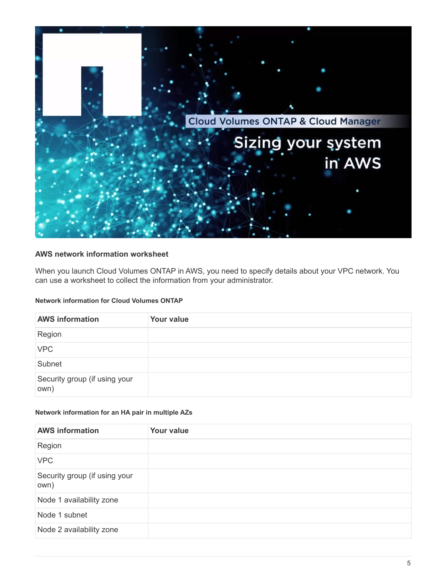

### <span id="page-6-0"></span>**AWS network information worksheet**

When you launch Cloud Volumes ONTAP in AWS, you need to specify details about your VPC network. You can use a worksheet to collect the information from your administrator.

#### **Network information for Cloud Volumes ONTAP**

| <b>AWS information</b>                | Your value |
|---------------------------------------|------------|
| Region                                |            |
| <b>VPC</b>                            |            |
| Subnet                                |            |
| Security group (if using your<br>own) |            |

#### **Network information for an HA pair in multiple AZs**

| <b>AWS information</b>                | <b>Your value</b> |
|---------------------------------------|-------------------|
| Region                                |                   |
| <b>VPC</b>                            |                   |
| Security group (if using your<br>own) |                   |
| Node 1 availability zone              |                   |
| Node 1 subnet                         |                   |
| Node 2 availability zone              |                   |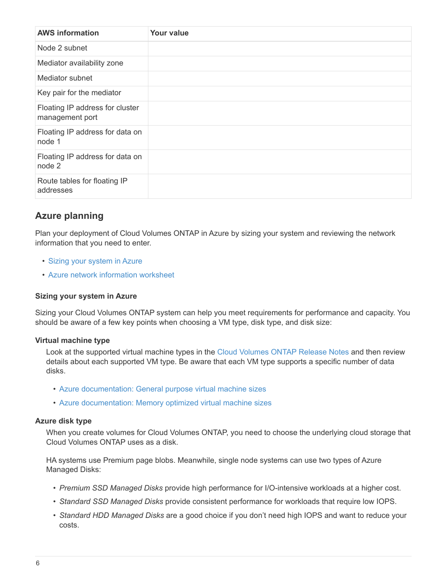| <b>AWS information</b>                             | Your value |
|----------------------------------------------------|------------|
| Node 2 subnet                                      |            |
| Mediator availability zone                         |            |
| Mediator subnet                                    |            |
| Key pair for the mediator                          |            |
| Floating IP address for cluster<br>management port |            |
| Floating IP address for data on<br>node 1          |            |
| Floating IP address for data on<br>node 2          |            |
| Route tables for floating IP<br>addresses          |            |

### **Azure planning**

Plan your deployment of Cloud Volumes ONTAP in Azure by sizing your system and reviewing the network information that you need to enter.

- [Sizing your system in Azure](#page-7-0)
- [Azure network information worksheet](#page-8-0)

### <span id="page-7-0"></span>**Sizing your system in Azure**

Sizing your Cloud Volumes ONTAP system can help you meet requirements for performance and capacity. You should be aware of a few key points when choosing a VM type, disk type, and disk size:

### **Virtual machine type**

Look at the supported virtual machine types in the [Cloud Volumes ONTAP Release Notes](http://docs.netapp.com/cloud-volumes-ontap/us-en/index.html) and then review details about each supported VM type. Be aware that each VM type supports a specific number of data disks.

- [Azure documentation: General purpose virtual machine sizes](https://docs.microsoft.com/en-us/azure/virtual-machines/linux/sizes-general#dsv2-series)
- [Azure documentation: Memory optimized virtual machine sizes](https://docs.microsoft.com/en-us/azure/virtual-machines/linux/sizes-memory#dsv2-series-11-15)

### **Azure disk type**

When you create volumes for Cloud Volumes ONTAP, you need to choose the underlying cloud storage that Cloud Volumes ONTAP uses as a disk.

HA systems use Premium page blobs. Meanwhile, single node systems can use two types of Azure Managed Disks:

- *Premium SSD Managed Disks* provide high performance for I/O-intensive workloads at a higher cost.
- *Standard SSD Managed Disks* provide consistent performance for workloads that require low IOPS.
- *Standard HDD Managed Disks* are a good choice if you don't need high IOPS and want to reduce your costs.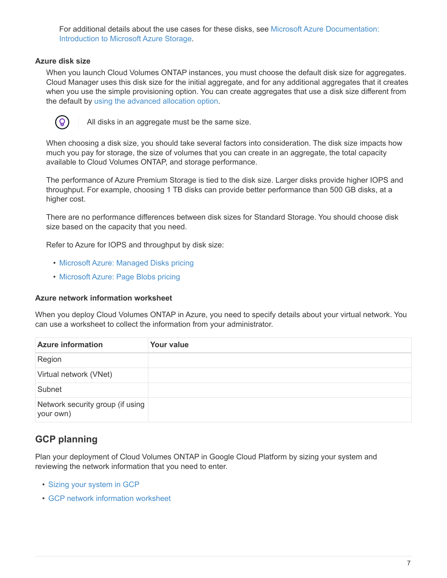For additional details about the use cases for these disks, see [Microsoft Azure Documentation:](https://azure.microsoft.com/documentation/articles/storage-introduction/) [Introduction to Microsoft Azure Storage.](https://azure.microsoft.com/documentation/articles/storage-introduction/)

### **Azure disk size**

When you launch Cloud Volumes ONTAP instances, you must choose the default disk size for aggregates. Cloud Manager uses this disk size for the initial aggregate, and for any additional aggregates that it creates when you use the simple provisioning option. You can create aggregates that use a disk size different from the default by [using the advanced allocation option.](https://docs.netapp.com/us-en/occm37/task_provisioning_storage.html#creating-aggregates)



All disks in an aggregate must be the same size.

When choosing a disk size, you should take several factors into consideration. The disk size impacts how much you pay for storage, the size of volumes that you can create in an aggregate, the total capacity available to Cloud Volumes ONTAP, and storage performance.

The performance of Azure Premium Storage is tied to the disk size. Larger disks provide higher IOPS and throughput. For example, choosing 1 TB disks can provide better performance than 500 GB disks, at a higher cost.

There are no performance differences between disk sizes for Standard Storage. You should choose disk size based on the capacity that you need.

Refer to Azure for IOPS and throughput by disk size:

- [Microsoft Azure: Managed Disks pricing](https://azure.microsoft.com/en-us/pricing/details/managed-disks/)
- [Microsoft Azure: Page Blobs pricing](https://azure.microsoft.com/en-us/pricing/details/storage/page-blobs/)

### <span id="page-8-0"></span>**Azure network information worksheet**

When you deploy Cloud Volumes ONTAP in Azure, you need to specify details about your virtual network. You can use a worksheet to collect the information from your administrator.

| <b>Azure information</b>                      | Your value |
|-----------------------------------------------|------------|
| Region                                        |            |
| Virtual network (VNet)                        |            |
| Subnet                                        |            |
| Network security group (if using<br>your own) |            |

### **GCP planning**

Plan your deployment of Cloud Volumes ONTAP in Google Cloud Platform by sizing your system and reviewing the network information that you need to enter.

- [Sizing your system in GCP](#page-9-0)
- [GCP network information worksheet](#page-9-1)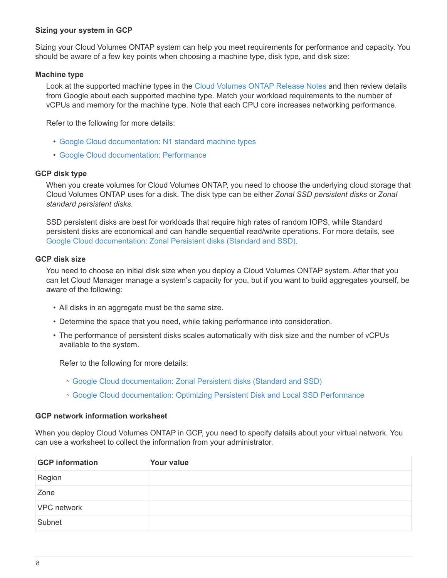### <span id="page-9-0"></span>**Sizing your system in GCP**

Sizing your Cloud Volumes ONTAP system can help you meet requirements for performance and capacity. You should be aware of a few key points when choosing a machine type, disk type, and disk size:

### **Machine type**

Look at the supported machine types in the [Cloud Volumes ONTAP Release Notes](http://docs.netapp.com/cloud-volumes-ontap/us-en/index.html) and then review details from Google about each supported machine type. Match your workload requirements to the number of vCPUs and memory for the machine type. Note that each CPU core increases networking performance.

Refer to the following for more details:

- [Google Cloud documentation: N1 standard machine types](https://cloud.google.com/compute/docs/machine-types#n1_machine_types)
- [Google Cloud documentation: Performance](https://cloud.google.com/docs/compare/data-centers/networking#performance)

#### **GCP disk type**

When you create volumes for Cloud Volumes ONTAP, you need to choose the underlying cloud storage that Cloud Volumes ONTAP uses for a disk. The disk type can be either *Zonal SSD persistent disks* or *Zonal standard persistent disks*.

SSD persistent disks are best for workloads that require high rates of random IOPS, while Standard persistent disks are economical and can handle sequential read/write operations. For more details, see [Google Cloud documentation: Zonal Persistent disks \(Standard and SSD\)](https://cloud.google.com/compute/docs/disks/#pdspecs).

### **GCP disk size**

You need to choose an initial disk size when you deploy a Cloud Volumes ONTAP system. After that you can let Cloud Manager manage a system's capacity for you, but if you want to build aggregates yourself, be aware of the following:

- All disks in an aggregate must be the same size.
- Determine the space that you need, while taking performance into consideration.
- The performance of persistent disks scales automatically with disk size and the number of vCPUs available to the system.

Refer to the following for more details:

- [Google Cloud documentation: Zonal Persistent disks \(Standard and SSD\)](https://cloud.google.com/compute/docs/disks/#pdspecs)
- [Google Cloud documentation: Optimizing Persistent Disk and Local SSD Performance](https://cloud.google.com/compute/docs/disks/performance)

#### <span id="page-9-1"></span>**GCP network information worksheet**

When you deploy Cloud Volumes ONTAP in GCP, you need to specify details about your virtual network. You can use a worksheet to collect the information from your administrator.

| <b>GCP</b> information | Your value |
|------------------------|------------|
| Region                 |            |
| Zone                   |            |
| VPC network            |            |
| Subnet                 |            |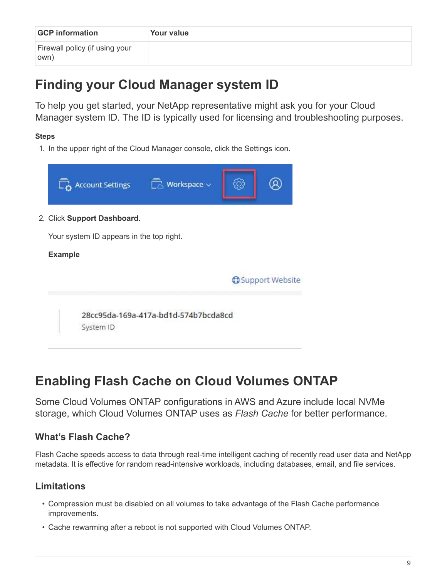| <b>GCP</b> information                 | Your value |
|----------------------------------------|------------|
| Firewall policy (if using your<br>own) |            |

## <span id="page-10-0"></span>**Finding your Cloud Manager system ID**

To help you get started, your NetApp representative might ask you for your Cloud Manager system ID. The ID is typically used for licensing and troubleshooting purposes.

### **Steps**

1. In the upper right of the Cloud Manager console, click the Settings icon.



## <span id="page-10-1"></span>**Enabling Flash Cache on Cloud Volumes ONTAP**

Some Cloud Volumes ONTAP configurations in AWS and Azure include local NVMe storage, which Cloud Volumes ONTAP uses as *Flash Cache* for better performance.

## **What's Flash Cache?**

Flash Cache speeds access to data through real-time intelligent caching of recently read user data and NetApp metadata. It is effective for random read-intensive workloads, including databases, email, and file services.

## **Limitations**

- Compression must be disabled on all volumes to take advantage of the Flash Cache performance improvements.
- Cache rewarming after a reboot is not supported with Cloud Volumes ONTAP.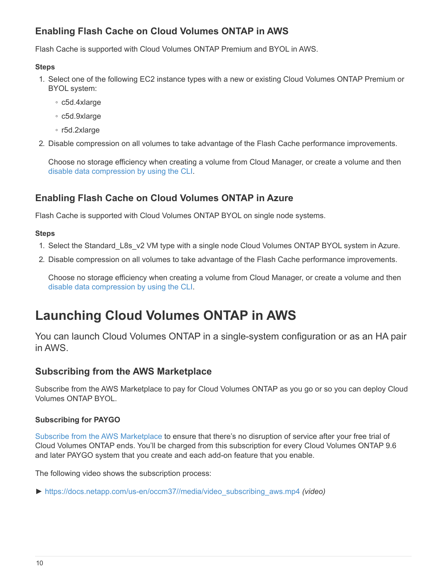## **Enabling Flash Cache on Cloud Volumes ONTAP in AWS**

Flash Cache is supported with Cloud Volumes ONTAP Premium and BYOL in AWS.

### **Steps**

- 1. Select one of the following EC2 instance types with a new or existing Cloud Volumes ONTAP Premium or BYOL system:
	- c5d.4xlarge
	- c5d.9xlarge
	- r5d.2xlarge
- 2. Disable compression on all volumes to take advantage of the Flash Cache performance improvements.

Choose no storage efficiency when creating a volume from Cloud Manager, or create a volume and then [disable data compression by using the CLI.](http://docs.netapp.com/ontap-9/topic/com.netapp.doc.dot-cm-vsmg/GUID-8508A4CB-DB43-4D0D-97EB-859F58B29054.html)

## **Enabling Flash Cache on Cloud Volumes ONTAP in Azure**

Flash Cache is supported with Cloud Volumes ONTAP BYOL on single node systems.

### **Steps**

- 1. Select the Standard\_L8s\_v2 VM type with a single node Cloud Volumes ONTAP BYOL system in Azure.
- 2. Disable compression on all volumes to take advantage of the Flash Cache performance improvements.

Choose no storage efficiency when creating a volume from Cloud Manager, or create a volume and then [disable data compression by using the CLI.](http://docs.netapp.com/ontap-9/topic/com.netapp.doc.dot-cm-vsmg/GUID-8508A4CB-DB43-4D0D-97EB-859F58B29054.html)

## <span id="page-11-0"></span>**Launching Cloud Volumes ONTAP in AWS**

You can launch Cloud Volumes ONTAP in a single-system configuration or as an HA pair in AWS.

### **Subscribing from the AWS Marketplace**

Subscribe from the AWS Marketplace to pay for Cloud Volumes ONTAP as you go or so you can deploy Cloud Volumes ONTAP BYOL.

### **Subscribing for PAYGO**

[Subscribe from the AWS Marketplace](https://aws.amazon.com/marketplace/pp/B07QX2QLXX) to ensure that there's no disruption of service after your free trial of Cloud Volumes ONTAP ends. You'll be charged from this subscription for every Cloud Volumes ONTAP 9.6 and later PAYGO system that you create and each add-on feature that you enable.

The following video shows the subscription process:

► [https://docs.netapp.com/us-en/occm37//media/video\\_subscribing\\_aws.mp4](https://docs.netapp.com/us-en/occm37//media/video_subscribing_aws.mp4) *(video)*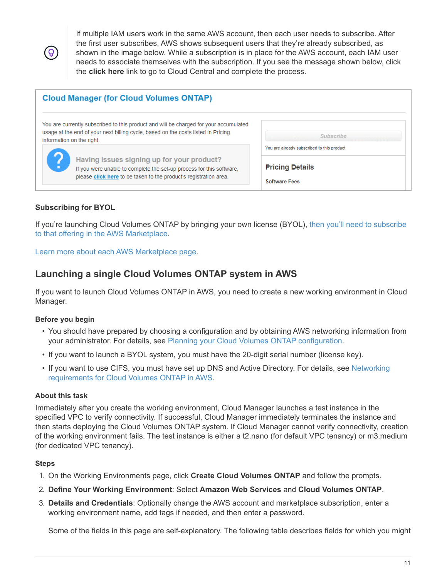$\Theta$ 

If multiple IAM users work in the same AWS account, then each user needs to subscribe. After the first user subscribes, AWS shows subsequent users that they're already subscribed, as shown in the image below. While a subscription is in place for the AWS account, each IAM user needs to associate themselves with the subscription. If you see the message shown below, click the **click here** link to go to Cloud Central and complete the process.

| <b>Cloud Manager (for Cloud Volumes ONTAP)</b>                                                                                                                                                          |                                                |  |
|---------------------------------------------------------------------------------------------------------------------------------------------------------------------------------------------------------|------------------------------------------------|--|
| You are currently subscribed to this product and will be charged for your accumulated<br>usage at the end of your next billing cycle, based on the costs listed in Pricing<br>information on the right. | <b>Subscribe</b>                               |  |
|                                                                                                                                                                                                         | You are already subscribed to this product     |  |
| Having issues signing up for your product?<br>f<br>If you were unable to complete the set-up process for this software,<br>please click here to be taken to the product's registration area.            | <b>Pricing Details</b><br><b>Software Fees</b> |  |

### **Subscribing for BYOL**

If you're launching Cloud Volumes ONTAP by bringing your own license (BYOL), [then you'll need to subscribe](https://aws.amazon.com/marketplace/search/results?x=0&y=0&searchTerms=cloud+volumes+ontap+byol) [to that offering in the AWS Marketplace.](https://aws.amazon.com/marketplace/search/results?x=0&y=0&searchTerms=cloud+volumes+ontap+byol)

[Learn more about each AWS Marketplace page.](https://docs.netapp.com/us-en/occm37/reference_aws_marketplace.html)

### **Launching a single Cloud Volumes ONTAP system in AWS**

If you want to launch Cloud Volumes ONTAP in AWS, you need to create a new working environment in Cloud Manager.

### **Before you begin**

- You should have prepared by choosing a configuration and by obtaining AWS networking information from your administrator. For details, see [Planning your Cloud Volumes ONTAP configuration.](#page-3-0)
- If you want to launch a BYOL system, you must have the 20-digit serial number (license key).
- If you want to use CIFS, you must have set up DNS and Active Directory. For details, see [Networking](https://docs.netapp.com/us-en/occm37/reference_networking_aws.html) [requirements for Cloud Volumes ONTAP in AWS](https://docs.netapp.com/us-en/occm37/reference_networking_aws.html).

### **About this task**

Immediately after you create the working environment, Cloud Manager launches a test instance in the specified VPC to verify connectivity. If successful, Cloud Manager immediately terminates the instance and then starts deploying the Cloud Volumes ONTAP system. If Cloud Manager cannot verify connectivity, creation of the working environment fails. The test instance is either a t2.nano (for default VPC tenancy) or m3.medium (for dedicated VPC tenancy).

### **Steps**

- 1. On the Working Environments page, click **Create Cloud Volumes ONTAP** and follow the prompts.
- 2. **Define Your Working Environment**: Select **Amazon Web Services** and **Cloud Volumes ONTAP**.
- 3. **Details and Credentials**: Optionally change the AWS account and marketplace subscription, enter a working environment name, add tags if needed, and then enter a password.

Some of the fields in this page are self-explanatory. The following table describes fields for which you might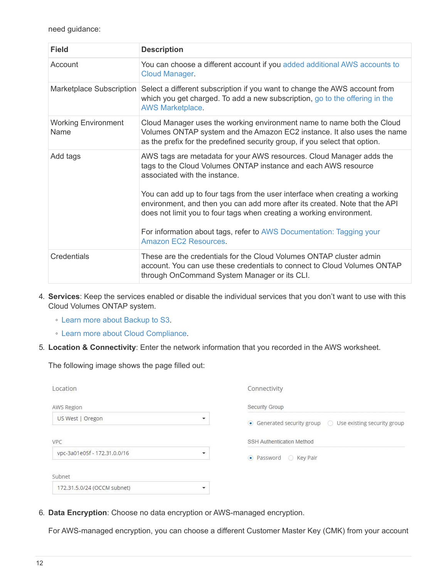need guidance:

| <b>Field</b>                       | <b>Description</b>                                                                                                                                                                                                                                     |
|------------------------------------|--------------------------------------------------------------------------------------------------------------------------------------------------------------------------------------------------------------------------------------------------------|
| Account                            | You can choose a different account if you added additional AWS accounts to<br>Cloud Manager.                                                                                                                                                           |
|                                    | Marketplace Subscription Select a different subscription if you want to change the AWS account from<br>which you get charged. To add a new subscription, go to the offering in the<br><b>AWS Marketplace.</b>                                          |
| <b>Working Environment</b><br>Name | Cloud Manager uses the working environment name to name both the Cloud<br>Volumes ONTAP system and the Amazon EC2 instance. It also uses the name<br>as the prefix for the predefined security group, if you select that option.                       |
| Add tags                           | AWS tags are metadata for your AWS resources. Cloud Manager adds the<br>tags to the Cloud Volumes ONTAP instance and each AWS resource<br>associated with the instance.<br>You can add up to four tags from the user interface when creating a working |
|                                    | environment, and then you can add more after its created. Note that the API<br>does not limit you to four tags when creating a working environment.                                                                                                    |
|                                    | For information about tags, refer to AWS Documentation: Tagging your<br>Amazon EC2 Resources.                                                                                                                                                          |
| Credentials                        | These are the credentials for the Cloud Volumes ONTAP cluster admin<br>account. You can use these credentials to connect to Cloud Volumes ONTAP<br>through OnCommand System Manager or its CLI.                                                        |

- 4. **Services**: Keep the services enabled or disable the individual services that you don't want to use with this Cloud Volumes ONTAP system.
	- [Learn more about Backup to S3](https://docs.netapp.com/us-en/occm37/task_backup_to_s3.html).
	- [Learn more about Cloud Compliance.](https://docs.netapp.com/us-en/occm37/concept_cloud_compliance.html)
- 5. **Location & Connectivity**: Enter the network information that you recorded in the AWS worksheet.

The following image shows the page filled out:

| Location                     |                          | Connectivity                                              |
|------------------------------|--------------------------|-----------------------------------------------------------|
| AWS Region                   |                          | Security Group                                            |
| US West   Oregon             | ▼                        | • Generated security group  ( Use existing security group |
| VPC                          |                          | SSH Authentication Method                                 |
| vpc-3a01e05f - 172.31.0.0/16 | $\overline{\phantom{a}}$ | · Password<br><b>C</b> Key Pair                           |
| Subnet                       |                          |                                                           |
| 172.31.5.0/24 (OCCM subnet)  | ٠                        |                                                           |

6. **Data Encryption**: Choose no data encryption or AWS-managed encryption.

For AWS-managed encryption, you can choose a different Customer Master Key (CMK) from your account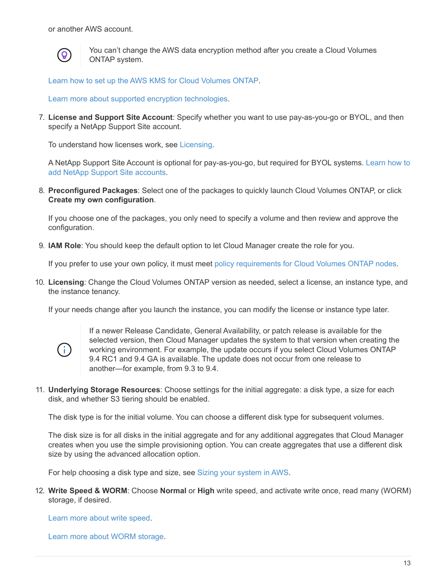or another AWS account.



You can't change the AWS data encryption method after you create a Cloud Volumes ONTAP system.

[Learn how to set up the AWS KMS for Cloud Volumes ONTAP](https://docs.netapp.com/us-en/occm37/task_setting_up_kms.html).

[Learn more about supported encryption technologies.](https://docs.netapp.com/us-en/occm37/concept_security.html#encryption-of-data-at-rest)

7. **License and Support Site Account**: Specify whether you want to use pay-as-you-go or BYOL, and then specify a NetApp Support Site account.

To understand how licenses work, see [Licensing.](https://docs.netapp.com/us-en/occm37/concept_licensing.html)

A NetApp Support Site Account is optional for pay-as-you-go, but required for BYOL systems. [Learn how to](https://docs.netapp.com/us-en/occm37/task_adding_nss_accounts.html) [add NetApp Support Site accounts](https://docs.netapp.com/us-en/occm37/task_adding_nss_accounts.html).

8. **Preconfigured Packages**: Select one of the packages to quickly launch Cloud Volumes ONTAP, or click **Create my own configuration**.

If you choose one of the packages, you only need to specify a volume and then review and approve the configuration.

9. **IAM Role**: You should keep the default option to let Cloud Manager create the role for you.

If you prefer to use your own policy, it must meet [policy requirements for Cloud Volumes ONTAP nodes](http://mysupport.netapp.com/cloudontap/support/iampolicies).

10. **Licensing**: Change the Cloud Volumes ONTAP version as needed, select a license, an instance type, and the instance tenancy.

If your needs change after you launch the instance, you can modify the license or instance type later.



If a newer Release Candidate, General Availability, or patch release is available for the selected version, then Cloud Manager updates the system to that version when creating the working environment. For example, the update occurs if you select Cloud Volumes ONTAP 9.4 RC1 and 9.4 GA is available. The update does not occur from one release to another—for example, from 9.3 to 9.4.

11. **Underlying Storage Resources**: Choose settings for the initial aggregate: a disk type, a size for each disk, and whether S3 tiering should be enabled.

The disk type is for the initial volume. You can choose a different disk type for subsequent volumes.

The disk size is for all disks in the initial aggregate and for any additional aggregates that Cloud Manager creates when you use the simple provisioning option. You can create aggregates that use a different disk size by using the advanced allocation option.

For help choosing a disk type and size, see [Sizing your system in AWS](#page-3-0).

12. **Write Speed & WORM**: Choose **Normal** or **High** write speed, and activate write once, read many (WORM) storage, if desired.

[Learn more about write speed.](#page-3-0)

[Learn more about WORM storage](https://docs.netapp.com/us-en/occm37/concept_worm.html).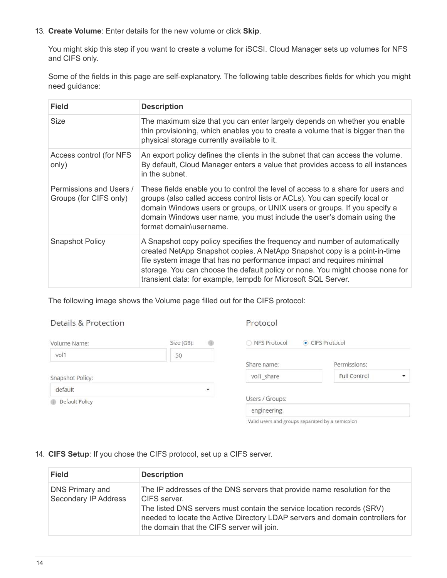### 13. **Create Volume**: Enter details for the new volume or click **Skip**.

You might skip this step if you want to create a volume for iSCSI. Cloud Manager sets up volumes for NFS and CIFS only.

Some of the fields in this page are self-explanatory. The following table describes fields for which you might need guidance:

| <b>Field</b>                                      | <b>Description</b>                                                                                                                                                                                                                                                                                                                                                                 |
|---------------------------------------------------|------------------------------------------------------------------------------------------------------------------------------------------------------------------------------------------------------------------------------------------------------------------------------------------------------------------------------------------------------------------------------------|
| Size                                              | The maximum size that you can enter largely depends on whether you enable<br>thin provisioning, which enables you to create a volume that is bigger than the<br>physical storage currently available to it.                                                                                                                                                                        |
| Access control (for NFS<br>only)                  | An export policy defines the clients in the subnet that can access the volume.<br>By default, Cloud Manager enters a value that provides access to all instances<br>in the subnet.                                                                                                                                                                                                 |
| Permissions and Users /<br>Groups (for CIFS only) | These fields enable you to control the level of access to a share for users and<br>groups (also called access control lists or ACLs). You can specify local or<br>domain Windows users or groups, or UNIX users or groups. If you specify a<br>domain Windows user name, you must include the user's domain using the<br>format domain\username.                                   |
| <b>Snapshot Policy</b>                            | A Snapshot copy policy specifies the frequency and number of automatically<br>created NetApp Snapshot copies. A NetApp Snapshot copy is a point-in-time<br>file system image that has no performance impact and requires minimal<br>storage. You can choose the default policy or none. You might choose none for<br>transient data: for example, tempdb for Microsoft SQL Server. |

The following image shows the Volume page filled out for the CIFS protocol:

| Details & Protection |                 | Protocol        |                                         |
|----------------------|-----------------|-----------------|-----------------------------------------|
| Volume Name:         | Size (GB):<br>® | NFS Protocol    | CIFS Protocol                           |
| vol1                 | 50              |                 |                                         |
|                      |                 | Share name:     | Permissions:                            |
| Snapshot Policy:     |                 | vol1 share      | Full Control<br>÷                       |
| default              | ▼               |                 |                                         |
| Default Policy<br>®. |                 | Users / Groups: |                                         |
|                      |                 | engineering     |                                         |
|                      |                 |                 | and the first product of the control of |

Valid users and groups separated by a semicolon

### 14. **CIFS Setup**: If you chose the CIFS protocol, set up a CIFS server.

| <b>Field</b>                            | <b>Description</b>                                                                                                                                                                                                                                                                                |
|-----------------------------------------|---------------------------------------------------------------------------------------------------------------------------------------------------------------------------------------------------------------------------------------------------------------------------------------------------|
| DNS Primary and<br>Secondary IP Address | The IP addresses of the DNS servers that provide name resolution for the<br>CIFS server.<br>The listed DNS servers must contain the service location records (SRV)<br>needed to locate the Active Directory LDAP servers and domain controllers for<br>the domain that the CIFS server will join. |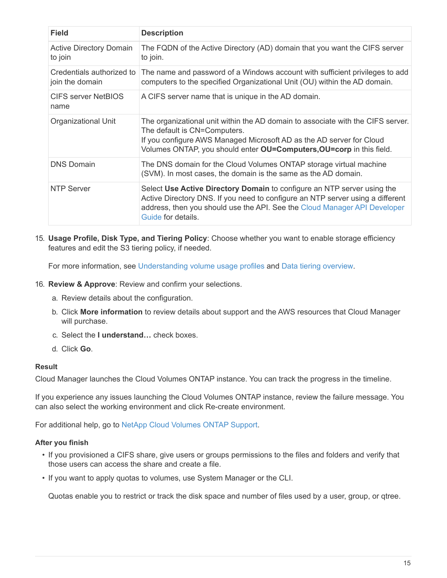| <b>Field</b>                                 | <b>Description</b>                                                                                                                                                                                                                                              |
|----------------------------------------------|-----------------------------------------------------------------------------------------------------------------------------------------------------------------------------------------------------------------------------------------------------------------|
| <b>Active Directory Domain</b><br>to join    | The FQDN of the Active Directory (AD) domain that you want the CIFS server<br>to join.                                                                                                                                                                          |
| Credentials authorized to<br>join the domain | The name and password of a Windows account with sufficient privileges to add<br>computers to the specified Organizational Unit (OU) within the AD domain.                                                                                                       |
| CIFS server NetBIOS<br>name                  | A CIFS server name that is unique in the AD domain.                                                                                                                                                                                                             |
| Organizational Unit                          | The organizational unit within the AD domain to associate with the CIFS server.<br>The default is CN=Computers.<br>If you configure AWS Managed Microsoft AD as the AD server for Cloud<br>Volumes ONTAP, you should enter OU=Computers, OU=corp in this field. |
| <b>DNS Domain</b>                            | The DNS domain for the Cloud Volumes ONTAP storage virtual machine<br>(SVM). In most cases, the domain is the same as the AD domain.                                                                                                                            |
| <b>NTP Server</b>                            | Select Use Active Directory Domain to configure an NTP server using the<br>Active Directory DNS. If you need to configure an NTP server using a different<br>address, then you should use the API. See the Cloud Manager API Developer<br>Guide for details.    |

15. **Usage Profile, Disk Type, and Tiering Policy**: Choose whether you want to enable storage efficiency features and edit the S3 tiering policy, if needed.

For more information, see [Understanding volume usage profiles](#page-3-0) and [Data tiering overview.](https://docs.netapp.com/us-en/occm37/concept_data_tiering.html)

- 16. **Review & Approve**: Review and confirm your selections.
	- a. Review details about the configuration.
	- b. Click **More information** to review details about support and the AWS resources that Cloud Manager will purchase.
	- c. Select the **I understand…** check boxes.
	- d. Click **Go**.

### **Result**

Cloud Manager launches the Cloud Volumes ONTAP instance. You can track the progress in the timeline.

If you experience any issues launching the Cloud Volumes ONTAP instance, review the failure message. You can also select the working environment and click Re-create environment.

For additional help, go to [NetApp Cloud Volumes ONTAP Support.](https://mysupport.netapp.com/cloudontap)

#### **After you finish**

- If you provisioned a CIFS share, give users or groups permissions to the files and folders and verify that those users can access the share and create a file.
- If you want to apply quotas to volumes, use System Manager or the CLI.

Quotas enable you to restrict or track the disk space and number of files used by a user, group, or qtree.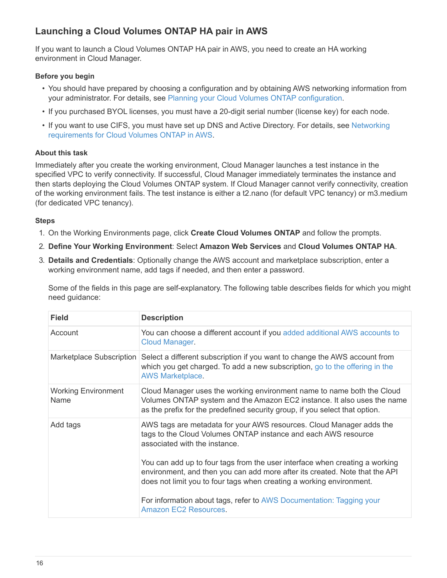## **Launching a Cloud Volumes ONTAP HA pair in AWS**

If you want to launch a Cloud Volumes ONTAP HA pair in AWS, you need to create an HA working environment in Cloud Manager.

### **Before you begin**

- You should have prepared by choosing a configuration and by obtaining AWS networking information from your administrator. For details, see [Planning your Cloud Volumes ONTAP configuration.](#page-3-0)
- If you purchased BYOL licenses, you must have a 20-digit serial number (license key) for each node.
- If you want to use CIFS, you must have set up DNS and Active Directory. For details, see [Networking](https://docs.netapp.com/us-en/occm37/reference_networking_aws.html) [requirements for Cloud Volumes ONTAP in AWS](https://docs.netapp.com/us-en/occm37/reference_networking_aws.html).

### **About this task**

Immediately after you create the working environment, Cloud Manager launches a test instance in the specified VPC to verify connectivity. If successful, Cloud Manager immediately terminates the instance and then starts deploying the Cloud Volumes ONTAP system. If Cloud Manager cannot verify connectivity, creation of the working environment fails. The test instance is either a t2.nano (for default VPC tenancy) or m3.medium (for dedicated VPC tenancy).

### **Steps**

- 1. On the Working Environments page, click **Create Cloud Volumes ONTAP** and follow the prompts.
- 2. **Define Your Working Environment**: Select **Amazon Web Services** and **Cloud Volumes ONTAP HA**.
- 3. **Details and Credentials**: Optionally change the AWS account and marketplace subscription, enter a working environment name, add tags if needed, and then enter a password.

Some of the fields in this page are self-explanatory. The following table describes fields for which you might need guidance:

| You can choose a different account if you added additional AWS accounts to                                                                                                                                                                                                                                                                                                                                                                                                            |
|---------------------------------------------------------------------------------------------------------------------------------------------------------------------------------------------------------------------------------------------------------------------------------------------------------------------------------------------------------------------------------------------------------------------------------------------------------------------------------------|
|                                                                                                                                                                                                                                                                                                                                                                                                                                                                                       |
| Select a different subscription if you want to change the AWS account from<br>which you get charged. To add a new subscription, go to the offering in the<br><b>AWS Marketplace.</b>                                                                                                                                                                                                                                                                                                  |
| Cloud Manager uses the working environment name to name both the Cloud<br>Volumes ONTAP system and the Amazon EC2 instance. It also uses the name<br>as the prefix for the predefined security group, if you select that option.                                                                                                                                                                                                                                                      |
| AWS tags are metadata for your AWS resources. Cloud Manager adds the<br>tags to the Cloud Volumes ONTAP instance and each AWS resource<br>associated with the instance.<br>You can add up to four tags from the user interface when creating a working<br>environment, and then you can add more after its created. Note that the API<br>does not limit you to four tags when creating a working environment.<br>For information about tags, refer to AWS Documentation: Tagging your |
| <b>Amazon EC2 Resources.</b>                                                                                                                                                                                                                                                                                                                                                                                                                                                          |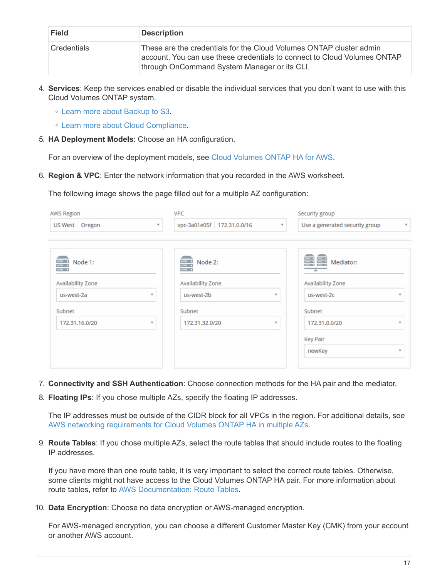| <b>Field</b>       | <b>Description</b>                                                                                                                                                                              |
|--------------------|-------------------------------------------------------------------------------------------------------------------------------------------------------------------------------------------------|
| <b>Credentials</b> | These are the credentials for the Cloud Volumes ONTAP cluster admin<br>account. You can use these credentials to connect to Cloud Volumes ONTAP<br>through OnCommand System Manager or its CLI. |

- 4. **Services**: Keep the services enabled or disable the individual services that you don't want to use with this Cloud Volumes ONTAP system.
	- [Learn more about Backup to S3](https://docs.netapp.com/us-en/occm37/task_backup_to_s3.html).
	- [Learn more about Cloud Compliance.](https://docs.netapp.com/us-en/occm37/concept_cloud_compliance.html)
- 5. **HA Deployment Models**: Choose an HA configuration.

For an overview of the deployment models, see [Cloud Volumes ONTAP HA for AWS](https://docs.netapp.com/us-en/occm37/concept_ha.html).

6. **Region & VPC**: Enter the network information that you recorded in the AWS worksheet.

The following image shows the page filled out for a multiple AZ configuration:

| <b>AWS Region</b>                                                                                                |        | <b>VPC</b>                                                                                             |                   | Security group                                                                                                |                                   |
|------------------------------------------------------------------------------------------------------------------|--------|--------------------------------------------------------------------------------------------------------|-------------------|---------------------------------------------------------------------------------------------------------------|-----------------------------------|
| US West Oregon<br>$\overline{\mathbf{v}}$                                                                        |        | vpc-3a01e05f   172.31.0.0/16<br>$\overline{\mathbf{v}}$                                                |                   | Use a generated security group<br>$\overline{\mathbf{v}}$                                                     |                                   |
| Node 1:<br>$\frac{mn}{mn}$<br>$mm \bullet$<br><b>Availability Zone</b><br>us-west-2a<br>Subnet<br>172.31.16.0/20 | ٧<br>v | Node 2:<br>nur s<br>$mm \bullet$<br><b>Availability Zone</b><br>us-west-2b<br>Subnet<br>172.31.32.0/20 | $\mathbf{v}$<br>v | $mn + mn +$<br><b>Availability Zone</b><br>us-west-2c<br>Subnet<br>172.31.0.0/20<br><b>Key Pair</b><br>newKey | ٧<br>v<br>$\overline{\mathbf{v}}$ |

- 7. **Connectivity and SSH Authentication**: Choose connection methods for the HA pair and the mediator.
- 8. **Floating IPs**: If you chose multiple AZs, specify the floating IP addresses.

The IP addresses must be outside of the CIDR block for all VPCs in the region. For additional details, see [AWS networking requirements for Cloud Volumes ONTAP HA in multiple AZs](https://docs.netapp.com/us-en/occm37/reference_networking_aws.html#aws-networking-requirements-for-cloud-volumes-ontap-ha-in-multiple-azs).

9. **Route Tables**: If you chose multiple AZs, select the route tables that should include routes to the floating IP addresses.

If you have more than one route table, it is very important to select the correct route tables. Otherwise, some clients might not have access to the Cloud Volumes ONTAP HA pair. For more information about route tables, refer to [AWS Documentation: Route Tables.](http://docs.aws.amazon.com/AmazonVPC/latest/UserGuide/VPC_Route_Tables.html)

10. **Data Encryption**: Choose no data encryption or AWS-managed encryption.

For AWS-managed encryption, you can choose a different Customer Master Key (CMK) from your account or another AWS account.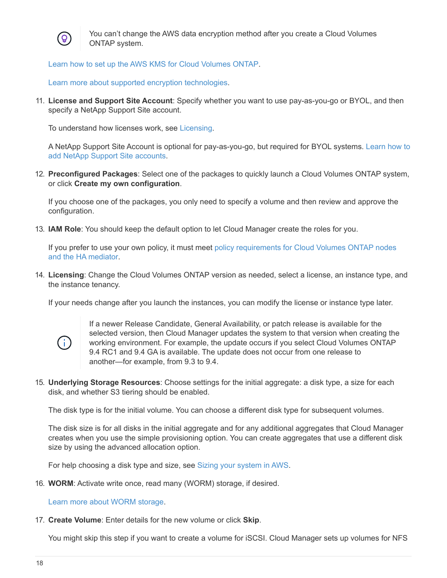

You can't change the AWS data encryption method after you create a Cloud Volumes ONTAP system.

[Learn how to set up the AWS KMS for Cloud Volumes ONTAP](https://docs.netapp.com/us-en/occm37/task_setting_up_kms.html).

[Learn more about supported encryption technologies.](https://docs.netapp.com/us-en/occm37/concept_security.html#encryption-of-data-at-rest)

11. **License and Support Site Account**: Specify whether you want to use pay-as-you-go or BYOL, and then specify a NetApp Support Site account.

To understand how licenses work, see [Licensing.](https://docs.netapp.com/us-en/occm37/concept_licensing.html)

A NetApp Support Site Account is optional for pay-as-you-go, but required for BYOL systems. [Learn how to](https://docs.netapp.com/us-en/occm37/task_adding_nss_accounts.html) [add NetApp Support Site accounts](https://docs.netapp.com/us-en/occm37/task_adding_nss_accounts.html).

12. **Preconfigured Packages**: Select one of the packages to quickly launch a Cloud Volumes ONTAP system, or click **Create my own configuration**.

If you choose one of the packages, you only need to specify a volume and then review and approve the configuration.

13. **IAM Role**: You should keep the default option to let Cloud Manager create the roles for you.

If you prefer to use your own policy, it must meet [policy requirements for Cloud Volumes ONTAP nodes](http://mysupport.netapp.com/cloudontap/support/iampolicies) [and the HA mediator.](http://mysupport.netapp.com/cloudontap/support/iampolicies)

14. **Licensing**: Change the Cloud Volumes ONTAP version as needed, select a license, an instance type, and the instance tenancy.

If your needs change after you launch the instances, you can modify the license or instance type later.



If a newer Release Candidate, General Availability, or patch release is available for the selected version, then Cloud Manager updates the system to that version when creating the working environment. For example, the update occurs if you select Cloud Volumes ONTAP 9.4 RC1 and 9.4 GA is available. The update does not occur from one release to another—for example, from 9.3 to 9.4.

15. **Underlying Storage Resources**: Choose settings for the initial aggregate: a disk type, a size for each disk, and whether S3 tiering should be enabled.

The disk type is for the initial volume. You can choose a different disk type for subsequent volumes.

The disk size is for all disks in the initial aggregate and for any additional aggregates that Cloud Manager creates when you use the simple provisioning option. You can create aggregates that use a different disk size by using the advanced allocation option.

For help choosing a disk type and size, see [Sizing your system in AWS](#page-3-0).

16. **WORM**: Activate write once, read many (WORM) storage, if desired.

[Learn more about WORM storage](https://docs.netapp.com/us-en/occm37/concept_worm.html).

17. **Create Volume**: Enter details for the new volume or click **Skip**.

You might skip this step if you want to create a volume for iSCSI. Cloud Manager sets up volumes for NFS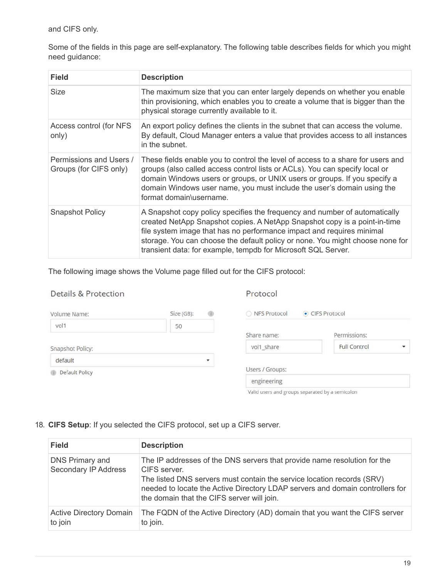and CIFS only.

Some of the fields in this page are self-explanatory. The following table describes fields for which you might need guidance:

| <b>Field</b>                                      | <b>Description</b>                                                                                                                                                                                                                                                                                                                                                                 |
|---------------------------------------------------|------------------------------------------------------------------------------------------------------------------------------------------------------------------------------------------------------------------------------------------------------------------------------------------------------------------------------------------------------------------------------------|
| Size                                              | The maximum size that you can enter largely depends on whether you enable<br>thin provisioning, which enables you to create a volume that is bigger than the<br>physical storage currently available to it.                                                                                                                                                                        |
| Access control (for NFS<br>only)                  | An export policy defines the clients in the subnet that can access the volume.<br>By default, Cloud Manager enters a value that provides access to all instances<br>in the subnet.                                                                                                                                                                                                 |
| Permissions and Users /<br>Groups (for CIFS only) | These fields enable you to control the level of access to a share for users and<br>groups (also called access control lists or ACLs). You can specify local or<br>domain Windows users or groups, or UNIX users or groups. If you specify a<br>domain Windows user name, you must include the user's domain using the<br>format domain\username.                                   |
| <b>Snapshot Policy</b>                            | A Snapshot copy policy specifies the frequency and number of automatically<br>created NetApp Snapshot copies. A NetApp Snapshot copy is a point-in-time<br>file system image that has no performance impact and requires minimal<br>storage. You can choose the default policy or none. You might choose none for<br>transient data: for example, tempdb for Microsoft SQL Server. |

The following image shows the Volume page filled out for the CIFS protocol:

### **Details & Protection**

### Protocol

| Volume Name:     | Size (GB):<br>® | NFS Protocol                                    | CIFS Protocol |
|------------------|-----------------|-------------------------------------------------|---------------|
| vol1             | 50              |                                                 |               |
|                  |                 | Share name:                                     | Permissions:  |
| Snapshot Policy: |                 | vol1 share                                      | Full Control  |
| default          | ▼               |                                                 |               |
| Default Policy   |                 | Users / Groups:                                 |               |
|                  |                 | engineering                                     |               |
|                  |                 | Valid users and groups separated by a semicolon |               |

18. **CIFS Setup**: If you selected the CIFS protocol, set up a CIFS server.

| <b>Field</b>                                          | <b>Description</b>                                                                                                                                                                                                                                                                                |
|-------------------------------------------------------|---------------------------------------------------------------------------------------------------------------------------------------------------------------------------------------------------------------------------------------------------------------------------------------------------|
| <b>DNS Primary and</b><br><b>Secondary IP Address</b> | The IP addresses of the DNS servers that provide name resolution for the<br>CIFS server.<br>The listed DNS servers must contain the service location records (SRV)<br>needed to locate the Active Directory LDAP servers and domain controllers for<br>the domain that the CIFS server will join. |
| <b>Active Directory Domain</b><br>to join             | The FQDN of the Active Directory (AD) domain that you want the CIFS server<br>to join.                                                                                                                                                                                                            |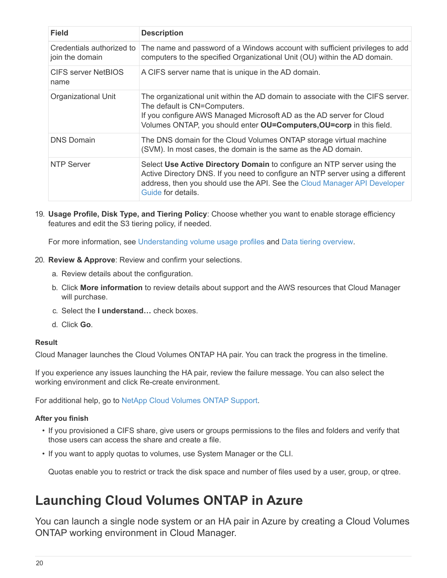| <b>Field</b>                                 | <b>Description</b>                                                                                                                                                                                                                                              |
|----------------------------------------------|-----------------------------------------------------------------------------------------------------------------------------------------------------------------------------------------------------------------------------------------------------------------|
| Credentials authorized to<br>join the domain | The name and password of a Windows account with sufficient privileges to add<br>computers to the specified Organizational Unit (OU) within the AD domain.                                                                                                       |
| CIFS server NetBIOS<br>name                  | A CIFS server name that is unique in the AD domain.                                                                                                                                                                                                             |
| <b>Organizational Unit</b>                   | The organizational unit within the AD domain to associate with the CIFS server.<br>The default is CN=Computers.<br>If you configure AWS Managed Microsoft AD as the AD server for Cloud<br>Volumes ONTAP, you should enter OU=Computers, OU=corp in this field. |
| <b>DNS Domain</b>                            | The DNS domain for the Cloud Volumes ONTAP storage virtual machine<br>(SVM). In most cases, the domain is the same as the AD domain.                                                                                                                            |
| <b>NTP Server</b>                            | Select Use Active Directory Domain to configure an NTP server using the<br>Active Directory DNS. If you need to configure an NTP server using a different<br>address, then you should use the API. See the Cloud Manager API Developer<br>Guide for details.    |

19. **Usage Profile, Disk Type, and Tiering Policy**: Choose whether you want to enable storage efficiency features and edit the S3 tiering policy, if needed.

For more information, see [Understanding volume usage profiles](#page-3-0) and [Data tiering overview.](https://docs.netapp.com/us-en/occm37/concept_data_tiering.html)

- 20. **Review & Approve**: Review and confirm your selections.
	- a. Review details about the configuration.
	- b. Click **More information** to review details about support and the AWS resources that Cloud Manager will purchase.
	- c. Select the **I understand…** check boxes.
	- d. Click **Go**.

### **Result**

Cloud Manager launches the Cloud Volumes ONTAP HA pair. You can track the progress in the timeline.

If you experience any issues launching the HA pair, review the failure message. You can also select the working environment and click Re-create environment.

For additional help, go to [NetApp Cloud Volumes ONTAP Support.](https://mysupport.netapp.com/cloudontap)

### **After you finish**

- If you provisioned a CIFS share, give users or groups permissions to the files and folders and verify that those users can access the share and create a file.
- If you want to apply quotas to volumes, use System Manager or the CLI.

Quotas enable you to restrict or track the disk space and number of files used by a user, group, or qtree.

## <span id="page-21-0"></span>**Launching Cloud Volumes ONTAP in Azure**

You can launch a single node system or an HA pair in Azure by creating a Cloud Volumes ONTAP working environment in Cloud Manager.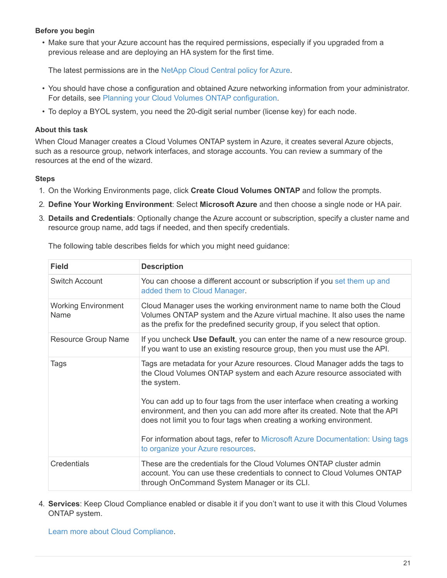### **Before you begin**

• Make sure that your Azure account has the required permissions, especially if you upgraded from a previous release and are deploying an HA system for the first time.

The latest permissions are in the [NetApp Cloud Central policy for Azure](https://mysupport.netapp.com/cloudontap/iampolicies).

- You should have chose a configuration and obtained Azure networking information from your administrator. For details, see [Planning your Cloud Volumes ONTAP configuration.](#page-3-0)
- To deploy a BYOL system, you need the 20-digit serial number (license key) for each node.

### **About this task**

When Cloud Manager creates a Cloud Volumes ONTAP system in Azure, it creates several Azure objects, such as a resource group, network interfaces, and storage accounts. You can review a summary of the resources at the end of the wizard.

### **Steps**

- 1. On the Working Environments page, click **Create Cloud Volumes ONTAP** and follow the prompts.
- 2. **Define Your Working Environment**: Select **Microsoft Azure** and then choose a single node or HA pair.
- 3. **Details and Credentials**: Optionally change the Azure account or subscription, specify a cluster name and resource group name, add tags if needed, and then specify credentials.

The following table describes fields for which you might need guidance:

| <b>Field</b>                       | <b>Description</b>                                                                                                                                                                                                                 |
|------------------------------------|------------------------------------------------------------------------------------------------------------------------------------------------------------------------------------------------------------------------------------|
| <b>Switch Account</b>              | You can choose a different account or subscription if you set them up and<br>added them to Cloud Manager.                                                                                                                          |
| <b>Working Environment</b><br>Name | Cloud Manager uses the working environment name to name both the Cloud<br>Volumes ONTAP system and the Azure virtual machine. It also uses the name<br>as the prefix for the predefined security group, if you select that option. |
| <b>Resource Group Name</b>         | If you uncheck Use Default, you can enter the name of a new resource group.<br>If you want to use an existing resource group, then you must use the API.                                                                           |
| Tags                               | Tags are metadata for your Azure resources. Cloud Manager adds the tags to<br>the Cloud Volumes ONTAP system and each Azure resource associated with<br>the system.                                                                |
|                                    | You can add up to four tags from the user interface when creating a working<br>environment, and then you can add more after its created. Note that the API<br>does not limit you to four tags when creating a working environment. |
|                                    | For information about tags, refer to Microsoft Azure Documentation: Using tags<br>to organize your Azure resources.                                                                                                                |
| Credentials                        | These are the credentials for the Cloud Volumes ONTAP cluster admin<br>account. You can use these credentials to connect to Cloud Volumes ONTAP<br>through OnCommand System Manager or its CLI.                                    |

4. **Services**: Keep Cloud Compliance enabled or disable it if you don't want to use it with this Cloud Volumes ONTAP system.

[Learn more about Cloud Compliance.](https://docs.netapp.com/us-en/occm37/concept_cloud_compliance.html)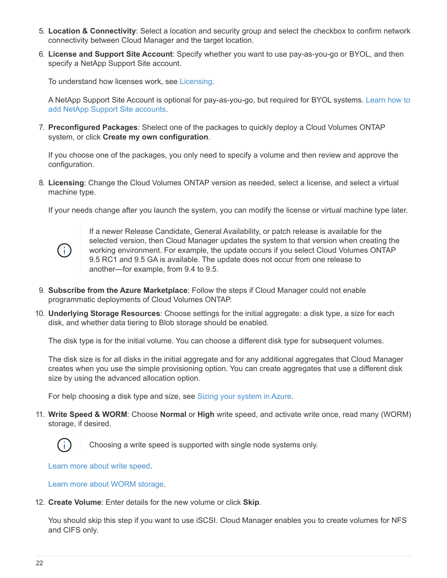- 5. **Location & Connectivity**: Select a location and security group and select the checkbox to confirm network connectivity between Cloud Manager and the target location.
- 6. **License and Support Site Account**: Specify whether you want to use pay-as-you-go or BYOL, and then specify a NetApp Support Site account.

To understand how licenses work, see [Licensing.](https://docs.netapp.com/us-en/occm37/concept_licensing.html)

A NetApp Support Site Account is optional for pay-as-you-go, but required for BYOL systems. [Learn how to](https://docs.netapp.com/us-en/occm37/task_adding_nss_accounts.html) [add NetApp Support Site accounts](https://docs.netapp.com/us-en/occm37/task_adding_nss_accounts.html).

7. **Preconfigured Packages**: Shelect one of the packages to quickly deploy a Cloud Volumes ONTAP system, or click **Create my own configuration**.

If you choose one of the packages, you only need to specify a volume and then review and approve the configuration.

8. **Licensing**: Change the Cloud Volumes ONTAP version as needed, select a license, and select a virtual machine type.

If your needs change after you launch the system, you can modify the license or virtual machine type later.



If a newer Release Candidate, General Availability, or patch release is available for the selected version, then Cloud Manager updates the system to that version when creating the working environment. For example, the update occurs if you select Cloud Volumes ONTAP 9.5 RC1 and 9.5 GA is available. The update does not occur from one release to another—for example, from 9.4 to 9.5.

- 9. **Subscribe from the Azure Marketplace**: Follow the steps if Cloud Manager could not enable programmatic deployments of Cloud Volumes ONTAP.
- 10. **Underlying Storage Resources**: Choose settings for the initial aggregate: a disk type, a size for each disk, and whether data tiering to Blob storage should be enabled.

The disk type is for the initial volume. You can choose a different disk type for subsequent volumes.

The disk size is for all disks in the initial aggregate and for any additional aggregates that Cloud Manager creates when you use the simple provisioning option. You can create aggregates that use a different disk size by using the advanced allocation option.

For help choosing a disk type and size, see [Sizing your system in Azure](#page-3-0).

11. **Write Speed & WORM**: Choose **Normal** or **High** write speed, and activate write once, read many (WORM) storage, if desired.



Choosing a write speed is supported with single node systems only.

[Learn more about write speed.](#page-3-0)

[Learn more about WORM storage](https://docs.netapp.com/us-en/occm37/concept_worm.html).

12. **Create Volume**: Enter details for the new volume or click **Skip**.

You should skip this step if you want to use iSCSI. Cloud Manager enables you to create volumes for NFS and CIFS only.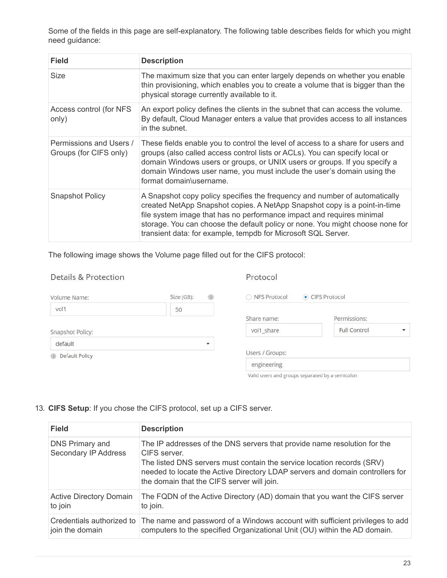Some of the fields in this page are self-explanatory. The following table describes fields for which you might need guidance:

| <b>Field</b>                                      | <b>Description</b>                                                                                                                                                                                                                                                                                                                                                                 |
|---------------------------------------------------|------------------------------------------------------------------------------------------------------------------------------------------------------------------------------------------------------------------------------------------------------------------------------------------------------------------------------------------------------------------------------------|
| Size                                              | The maximum size that you can enter largely depends on whether you enable<br>thin provisioning, which enables you to create a volume that is bigger than the<br>physical storage currently available to it.                                                                                                                                                                        |
| Access control (for NFS<br>only)                  | An export policy defines the clients in the subnet that can access the volume.<br>By default, Cloud Manager enters a value that provides access to all instances<br>in the subnet.                                                                                                                                                                                                 |
| Permissions and Users /<br>Groups (for CIFS only) | These fields enable you to control the level of access to a share for users and<br>groups (also called access control lists or ACLs). You can specify local or<br>domain Windows users or groups, or UNIX users or groups. If you specify a<br>domain Windows user name, you must include the user's domain using the<br>format domain\username.                                   |
| <b>Snapshot Policy</b>                            | A Snapshot copy policy specifies the frequency and number of automatically<br>created NetApp Snapshot copies. A NetApp Snapshot copy is a point-in-time<br>file system image that has no performance impact and requires minimal<br>storage. You can choose the default policy or none. You might choose none for<br>transient data: for example, tempdb for Microsoft SQL Server. |

The following image shows the Volume page filled out for the CIFS protocol:

| * [[라스 ] [Hotel ] [Hotel ] [Hotel ] [Hotel ] [Hotel ] [Hotel ] [Hotel ] [Hotel ] [Hotel ] [Hotel ] [Hotel ] [Ho |                 | and the state of the state of the state of the state of the state of the state of the state of the state of the |               |
|-----------------------------------------------------------------------------------------------------------------|-----------------|-----------------------------------------------------------------------------------------------------------------|---------------|
| Volume Name:                                                                                                    | Size (GB):<br>⊕ | NFS Protocol                                                                                                    | CIFS Protocol |
| vol1                                                                                                            | 50              |                                                                                                                 |               |
|                                                                                                                 |                 | Share name:                                                                                                     | Permissions:  |
| Snapshot Policy:                                                                                                |                 | vol1_share                                                                                                      | Full Control  |
| default                                                                                                         | ▼               |                                                                                                                 |               |
| Default Policy                                                                                                  |                 | Users / Groups:                                                                                                 |               |
|                                                                                                                 |                 | engineering                                                                                                     |               |
|                                                                                                                 |                 |                                                                                                                 |               |

Protocol

#### Valid users and groups separated by a semicolon

13. **CIFS Setup**: If you chose the CIFS protocol, set up a CIFS server.

Details & Protection

| <b>Field</b>                              | <b>Description</b>                                                                                                                                                                                                                                                                                |
|-------------------------------------------|---------------------------------------------------------------------------------------------------------------------------------------------------------------------------------------------------------------------------------------------------------------------------------------------------|
| DNS Primary and<br>Secondary IP Address   | The IP addresses of the DNS servers that provide name resolution for the<br>CIFS server.<br>The listed DNS servers must contain the service location records (SRV)<br>needed to locate the Active Directory LDAP servers and domain controllers for<br>the domain that the CIFS server will join. |
| <b>Active Directory Domain</b><br>to join | The FQDN of the Active Directory (AD) domain that you want the CIFS server<br>to join.                                                                                                                                                                                                            |
| join the domain                           | Credentials authorized to The name and password of a Windows account with sufficient privileges to add<br>computers to the specified Organizational Unit (OU) within the AD domain.                                                                                                               |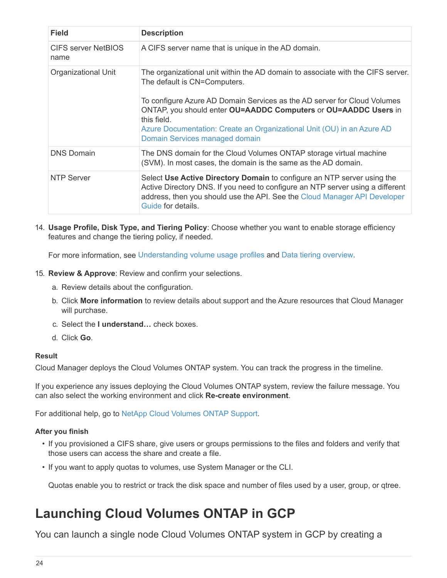| <b>Field</b>                | <b>Description</b>                                                                                                                                                                                                                                                                                                                                                                        |
|-----------------------------|-------------------------------------------------------------------------------------------------------------------------------------------------------------------------------------------------------------------------------------------------------------------------------------------------------------------------------------------------------------------------------------------|
| CIFS server NetBIOS<br>name | A CIFS server name that is unique in the AD domain.                                                                                                                                                                                                                                                                                                                                       |
| Organizational Unit         | The organizational unit within the AD domain to associate with the CIFS server.<br>The default is CN=Computers.<br>To configure Azure AD Domain Services as the AD server for Cloud Volumes<br>ONTAP, you should enter OU=AADDC Computers or OU=AADDC Users in<br>this field.<br>Azure Documentation: Create an Organizational Unit (OU) in an Azure AD<br>Domain Services managed domain |
| <b>DNS Domain</b>           | The DNS domain for the Cloud Volumes ONTAP storage virtual machine<br>(SVM). In most cases, the domain is the same as the AD domain.                                                                                                                                                                                                                                                      |
| NTP Server                  | Select Use Active Directory Domain to configure an NTP server using the<br>Active Directory DNS. If you need to configure an NTP server using a different<br>address, then you should use the API. See the Cloud Manager API Developer<br>Guide for details.                                                                                                                              |

14. **Usage Profile, Disk Type, and Tiering Policy**: Choose whether you want to enable storage efficiency features and change the tiering policy, if needed.

For more information, see [Understanding volume usage profiles](#page-3-0) and [Data tiering overview.](https://docs.netapp.com/us-en/occm37/concept_data_tiering.html)

- 15. **Review & Approve**: Review and confirm your selections.
	- a. Review details about the configuration.
	- b. Click **More information** to review details about support and the Azure resources that Cloud Manager will purchase.
	- c. Select the **I understand…** check boxes.
	- d. Click **Go**.

### **Result**

Cloud Manager deploys the Cloud Volumes ONTAP system. You can track the progress in the timeline.

If you experience any issues deploying the Cloud Volumes ONTAP system, review the failure message. You can also select the working environment and click **Re-create environment**.

For additional help, go to [NetApp Cloud Volumes ONTAP Support.](https://mysupport.netapp.com/cloudontap)

### **After you finish**

- If you provisioned a CIFS share, give users or groups permissions to the files and folders and verify that those users can access the share and create a file.
- If you want to apply quotas to volumes, use System Manager or the CLI.

Quotas enable you to restrict or track the disk space and number of files used by a user, group, or qtree.

## <span id="page-25-0"></span>**Launching Cloud Volumes ONTAP in GCP**

You can launch a single node Cloud Volumes ONTAP system in GCP by creating a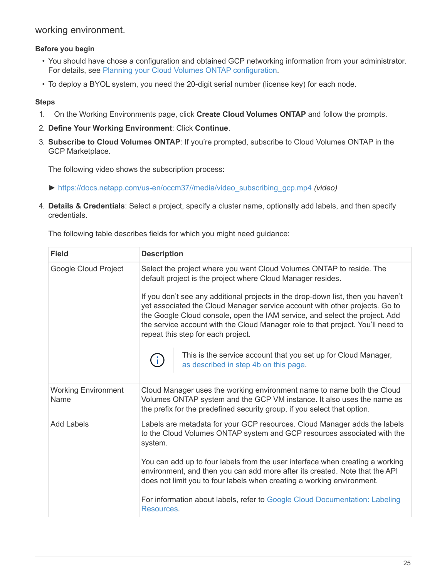working environment.

### **Before you begin**

- You should have chose a configuration and obtained GCP networking information from your administrator. For details, see [Planning your Cloud Volumes ONTAP configuration.](#page-3-0)
- To deploy a BYOL system, you need the 20-digit serial number (license key) for each node.

### **Steps**

- 1. On the Working Environments page, click **Create Cloud Volumes ONTAP** and follow the prompts.
- 2. **Define Your Working Environment**: Click **Continue**.
- 3. **Subscribe to Cloud Volumes ONTAP**: If you're prompted, subscribe to Cloud Volumes ONTAP in the GCP Marketplace.

The following video shows the subscription process:

- ► [https://docs.netapp.com/us-en/occm37//media/video\\_subscribing\\_gcp.mp4](https://docs.netapp.com/us-en/occm37//media/video_subscribing_gcp.mp4) *(video)*
- 4. **Details & Credentials**: Select a project, specify a cluster name, optionally add labels, and then specify credentials.

The following table describes fields for which you might need guidance:

| <b>Field</b>                       | <b>Description</b>                                                                                                                                                                                                                                                                                                                                                                                                                                                                                                                                                                                                              |  |  |
|------------------------------------|---------------------------------------------------------------------------------------------------------------------------------------------------------------------------------------------------------------------------------------------------------------------------------------------------------------------------------------------------------------------------------------------------------------------------------------------------------------------------------------------------------------------------------------------------------------------------------------------------------------------------------|--|--|
| Google Cloud Project               | Select the project where you want Cloud Volumes ONTAP to reside. The<br>default project is the project where Cloud Manager resides.<br>If you don't see any additional projects in the drop-down list, then you haven't<br>yet associated the Cloud Manager service account with other projects. Go to<br>the Google Cloud console, open the IAM service, and select the project. Add<br>the service account with the Cloud Manager role to that project. You'll need to<br>repeat this step for each project.<br>This is the service account that you set up for Cloud Manager,<br>ă.<br>as described in step 4b on this page. |  |  |
| <b>Working Environment</b><br>Name | Cloud Manager uses the working environment name to name both the Cloud<br>Volumes ONTAP system and the GCP VM instance. It also uses the name as<br>the prefix for the predefined security group, if you select that option.                                                                                                                                                                                                                                                                                                                                                                                                    |  |  |
| <b>Add Labels</b>                  | Labels are metadata for your GCP resources. Cloud Manager adds the labels<br>to the Cloud Volumes ONTAP system and GCP resources associated with the<br>system.<br>You can add up to four labels from the user interface when creating a working<br>environment, and then you can add more after its created. Note that the API<br>does not limit you to four labels when creating a working environment.<br>For information about labels, refer to Google Cloud Documentation: Labeling<br>Resources.                                                                                                                          |  |  |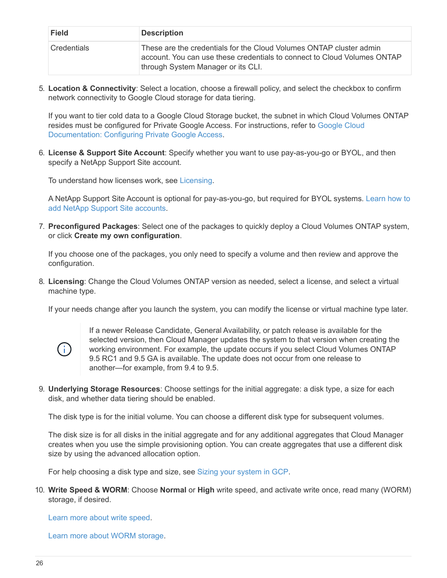| <b>Field</b>       | <b>Description</b>                                                                                                                                                                    |
|--------------------|---------------------------------------------------------------------------------------------------------------------------------------------------------------------------------------|
| <b>Credentials</b> | These are the credentials for the Cloud Volumes ONTAP cluster admin<br>account. You can use these credentials to connect to Cloud Volumes ONTAP<br>through System Manager or its CLI. |

5. **Location & Connectivity**: Select a location, choose a firewall policy, and select the checkbox to confirm network connectivity to Google Cloud storage for data tiering.

If you want to tier cold data to a Google Cloud Storage bucket, the subnet in which Cloud Volumes ONTAP resides must be configured for Private Google Access. For instructions, refer to [Google Cloud](https://cloud.google.com/vpc/docs/configure-private-google-access) [Documentation: Configuring Private Google Access.](https://cloud.google.com/vpc/docs/configure-private-google-access)

6. **License & Support Site Account**: Specify whether you want to use pay-as-you-go or BYOL, and then specify a NetApp Support Site account.

To understand how licenses work, see [Licensing.](https://docs.netapp.com/us-en/occm37/concept_licensing.html)

A NetApp Support Site Account is optional for pay-as-you-go, but required for BYOL systems. [Learn how to](https://docs.netapp.com/us-en/occm37/task_adding_nss_accounts.html) [add NetApp Support Site accounts](https://docs.netapp.com/us-en/occm37/task_adding_nss_accounts.html).

7. **Preconfigured Packages**: Select one of the packages to quickly deploy a Cloud Volumes ONTAP system, or click **Create my own configuration**.

If you choose one of the packages, you only need to specify a volume and then review and approve the configuration.

8. **Licensing**: Change the Cloud Volumes ONTAP version as needed, select a license, and select a virtual machine type.

If your needs change after you launch the system, you can modify the license or virtual machine type later.



If a newer Release Candidate, General Availability, or patch release is available for the selected version, then Cloud Manager updates the system to that version when creating the working environment. For example, the update occurs if you select Cloud Volumes ONTAP 9.5 RC1 and 9.5 GA is available. The update does not occur from one release to another—for example, from 9.4 to 9.5.

9. **Underlying Storage Resources**: Choose settings for the initial aggregate: a disk type, a size for each disk, and whether data tiering should be enabled.

The disk type is for the initial volume. You can choose a different disk type for subsequent volumes.

The disk size is for all disks in the initial aggregate and for any additional aggregates that Cloud Manager creates when you use the simple provisioning option. You can create aggregates that use a different disk size by using the advanced allocation option.

For help choosing a disk type and size, see [Sizing your system in GCP](#page-3-0).

10. **Write Speed & WORM**: Choose **Normal** or **High** write speed, and activate write once, read many (WORM) storage, if desired.

[Learn more about write speed.](#page-3-0)

[Learn more about WORM storage](https://docs.netapp.com/us-en/occm37/concept_worm.html).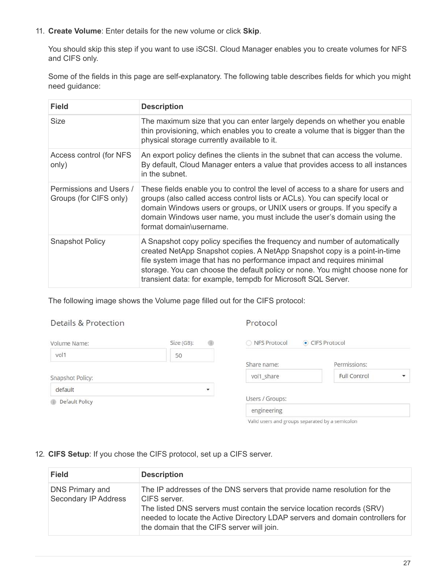### 11. **Create Volume**: Enter details for the new volume or click **Skip**.

You should skip this step if you want to use iSCSI. Cloud Manager enables you to create volumes for NFS and CIFS only.

Some of the fields in this page are self-explanatory. The following table describes fields for which you might need guidance:

| <b>Field</b>                                      | <b>Description</b>                                                                                                                                                                                                                                                                                                                                                                 |
|---------------------------------------------------|------------------------------------------------------------------------------------------------------------------------------------------------------------------------------------------------------------------------------------------------------------------------------------------------------------------------------------------------------------------------------------|
| Size                                              | The maximum size that you can enter largely depends on whether you enable<br>thin provisioning, which enables you to create a volume that is bigger than the<br>physical storage currently available to it.                                                                                                                                                                        |
| Access control (for NFS<br>only)                  | An export policy defines the clients in the subnet that can access the volume.<br>By default, Cloud Manager enters a value that provides access to all instances<br>in the subnet.                                                                                                                                                                                                 |
| Permissions and Users /<br>Groups (for CIFS only) | These fields enable you to control the level of access to a share for users and<br>groups (also called access control lists or ACLs). You can specify local or<br>domain Windows users or groups, or UNIX users or groups. If you specify a<br>domain Windows user name, you must include the user's domain using the<br>format domain\username.                                   |
| <b>Snapshot Policy</b>                            | A Snapshot copy policy specifies the frequency and number of automatically<br>created NetApp Snapshot copies. A NetApp Snapshot copy is a point-in-time<br>file system image that has no performance impact and requires minimal<br>storage. You can choose the default policy or none. You might choose none for<br>transient data: for example, tempdb for Microsoft SQL Server. |

The following image shows the Volume page filled out for the CIFS protocol:

| Details & Protection  |                 | Protocol        |                   |
|-----------------------|-----------------|-----------------|-------------------|
| Volume Name:          | Size (GB):<br>@ | NFS Protocol    | CIFS Protocol     |
| vol1                  | 50              |                 |                   |
|                       |                 | Share name:     | Permissions:      |
| Snapshot Policy:      |                 | vol1_share      | Full Control<br>÷ |
| default               | ▼               |                 |                   |
| Default Policy<br>(B) |                 | Users / Groups: |                   |
|                       |                 | engineering     |                   |
|                       |                 |                 |                   |

Valid users and groups separated by a semicolon

### 12. **CIFS Setup**: If you chose the CIFS protocol, set up a CIFS server.

| <b>Field</b>                            | <b>Description</b>                                                                                                                                                                                                                                                                                |
|-----------------------------------------|---------------------------------------------------------------------------------------------------------------------------------------------------------------------------------------------------------------------------------------------------------------------------------------------------|
| DNS Primary and<br>Secondary IP Address | The IP addresses of the DNS servers that provide name resolution for the<br>CIFS server.<br>The listed DNS servers must contain the service location records (SRV)<br>needed to locate the Active Directory LDAP servers and domain controllers for<br>the domain that the CIFS server will join. |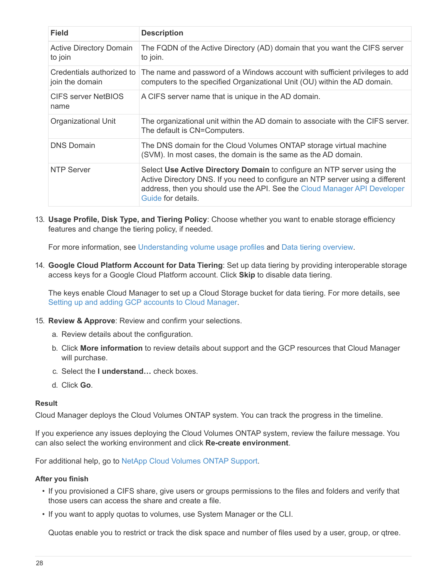| <b>Field</b>                                 | <b>Description</b>                                                                                                                                                                                                                                           |
|----------------------------------------------|--------------------------------------------------------------------------------------------------------------------------------------------------------------------------------------------------------------------------------------------------------------|
| <b>Active Directory Domain</b><br>to join    | The FQDN of the Active Directory (AD) domain that you want the CIFS server<br>to join.                                                                                                                                                                       |
| Credentials authorized to<br>join the domain | The name and password of a Windows account with sufficient privileges to add<br>computers to the specified Organizational Unit (OU) within the AD domain.                                                                                                    |
| CIFS server NetBIOS<br>name                  | A CIFS server name that is unique in the AD domain.                                                                                                                                                                                                          |
| Organizational Unit                          | The organizational unit within the AD domain to associate with the CIFS server.<br>The default is CN=Computers.                                                                                                                                              |
| <b>DNS Domain</b>                            | The DNS domain for the Cloud Volumes ONTAP storage virtual machine<br>(SVM). In most cases, the domain is the same as the AD domain.                                                                                                                         |
| NTP Server                                   | Select Use Active Directory Domain to configure an NTP server using the<br>Active Directory DNS. If you need to configure an NTP server using a different<br>address, then you should use the API. See the Cloud Manager API Developer<br>Guide for details. |

13. **Usage Profile, Disk Type, and Tiering Policy**: Choose whether you want to enable storage efficiency features and change the tiering policy, if needed.

For more information, see [Understanding volume usage profiles](#page-3-0) and [Data tiering overview.](https://docs.netapp.com/us-en/occm37/concept_data_tiering.html)

14. **Google Cloud Platform Account for Data Tiering**: Set up data tiering by providing interoperable storage access keys for a Google Cloud Platform account. Click **Skip** to disable data tiering.

The keys enable Cloud Manager to set up a Cloud Storage bucket for data tiering. For more details, see [Setting up and adding GCP accounts to Cloud Manager](https://docs.netapp.com/us-en/occm37/task_adding_gcp_accounts.html).

- 15. **Review & Approve**: Review and confirm your selections.
	- a. Review details about the configuration.
	- b. Click **More information** to review details about support and the GCP resources that Cloud Manager will purchase.
	- c. Select the **I understand…** check boxes.
	- d. Click **Go**.

#### **Result**

Cloud Manager deploys the Cloud Volumes ONTAP system. You can track the progress in the timeline.

If you experience any issues deploying the Cloud Volumes ONTAP system, review the failure message. You can also select the working environment and click **Re-create environment**.

For additional help, go to [NetApp Cloud Volumes ONTAP Support.](https://mysupport.netapp.com/cloudontap)

#### **After you finish**

- If you provisioned a CIFS share, give users or groups permissions to the files and folders and verify that those users can access the share and create a file.
- If you want to apply quotas to volumes, use System Manager or the CLI.

Quotas enable you to restrict or track the disk space and number of files used by a user, group, or qtree.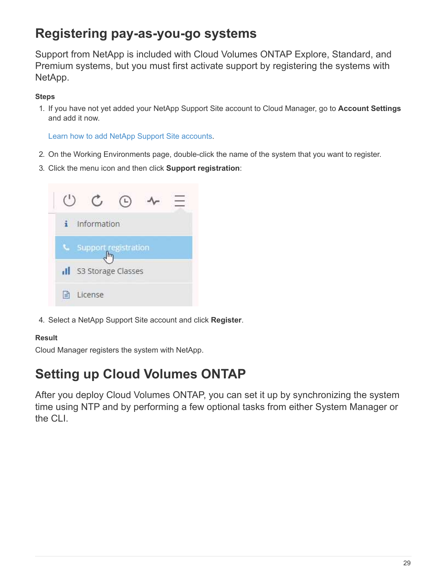## <span id="page-30-0"></span>**Registering pay-as-you-go systems**

Support from NetApp is included with Cloud Volumes ONTAP Explore, Standard, and Premium systems, but you must first activate support by registering the systems with NetApp.

### **Steps**

1. If you have not yet added your NetApp Support Site account to Cloud Manager, go to **Account Settings** and add it now.

[Learn how to add NetApp Support Site accounts.](https://docs.netapp.com/us-en/occm37/task_adding_nss_accounts.html)

- 2. On the Working Environments page, double-click the name of the system that you want to register.
- 3. Click the menu icon and then click **Support registration**:



4. Select a NetApp Support Site account and click **Register**.

### **Result**

Cloud Manager registers the system with NetApp.

## <span id="page-30-1"></span>**Setting up Cloud Volumes ONTAP**

After you deploy Cloud Volumes ONTAP, you can set it up by synchronizing the system time using NTP and by performing a few optional tasks from either System Manager or the CLI.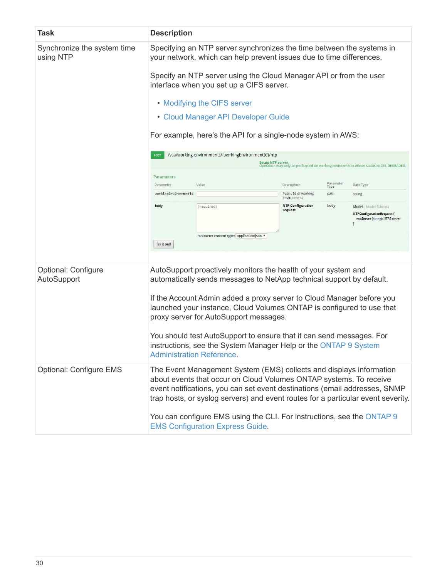| <b>Task</b>                                                                                                       | <b>Description</b>                                                                                                                                                                                                                                                                                          |                                                                                                                                         |                                     |                   |                                                                                           |
|-------------------------------------------------------------------------------------------------------------------|-------------------------------------------------------------------------------------------------------------------------------------------------------------------------------------------------------------------------------------------------------------------------------------------------------------|-----------------------------------------------------------------------------------------------------------------------------------------|-------------------------------------|-------------------|-------------------------------------------------------------------------------------------|
| Synchronize the system time<br>using NTP                                                                          | Specifying an NTP server synchronizes the time between the systems in<br>your network, which can help prevent issues due to time differences.                                                                                                                                                               |                                                                                                                                         |                                     |                   |                                                                                           |
|                                                                                                                   | Specify an NTP server using the Cloud Manager API or from the user<br>interface when you set up a CIFS server.                                                                                                                                                                                              |                                                                                                                                         |                                     |                   |                                                                                           |
|                                                                                                                   | • Modifying the CIFS server                                                                                                                                                                                                                                                                                 |                                                                                                                                         |                                     |                   |                                                                                           |
|                                                                                                                   |                                                                                                                                                                                                                                                                                                             | • Cloud Manager API Developer Guide                                                                                                     |                                     |                   |                                                                                           |
|                                                                                                                   |                                                                                                                                                                                                                                                                                                             | For example, here's the API for a single-node system in AWS:                                                                            |                                     |                   |                                                                                           |
|                                                                                                                   | POST                                                                                                                                                                                                                                                                                                        | /vsa/working-environments/{workingEnvironmentId}/ntp                                                                                    |                                     |                   |                                                                                           |
|                                                                                                                   |                                                                                                                                                                                                                                                                                                             |                                                                                                                                         |                                     |                   | Operation may only be performed on working environments whose status is: ON, DEGRADED.    |
|                                                                                                                   | Parameters<br>Parameter                                                                                                                                                                                                                                                                                     | Value                                                                                                                                   | Description                         | Parameter<br>Type | Data Type                                                                                 |
|                                                                                                                   | workingEnvironmentId                                                                                                                                                                                                                                                                                        |                                                                                                                                         | Public Id of working<br>environment | path              | string                                                                                    |
|                                                                                                                   | body                                                                                                                                                                                                                                                                                                        | (required)<br>Parameter content type: application/json ▼                                                                                | <b>NTP Configuration</b><br>request | body              | Model Model Schema<br><b>NTPConfigurationRequest {</b><br>ntpServer (string): NTPS server |
|                                                                                                                   | Try it out!                                                                                                                                                                                                                                                                                                 |                                                                                                                                         |                                     |                   |                                                                                           |
| Optional: Configure<br>AutoSupport                                                                                |                                                                                                                                                                                                                                                                                                             | AutoSupport proactively monitors the health of your system and<br>automatically sends messages to NetApp technical support by default.  |                                     |                   |                                                                                           |
|                                                                                                                   | If the Account Admin added a proxy server to Cloud Manager before you<br>launched your instance, Cloud Volumes ONTAP is configured to use that<br>proxy server for AutoSupport messages.                                                                                                                    |                                                                                                                                         |                                     |                   |                                                                                           |
|                                                                                                                   | <b>Administration Reference.</b>                                                                                                                                                                                                                                                                            | You should test AutoSupport to ensure that it can send messages. For<br>instructions, see the System Manager Help or the ONTAP 9 System |                                     |                   |                                                                                           |
| Optional: Configure EMS                                                                                           | The Event Management System (EMS) collects and displays information<br>about events that occur on Cloud Volumes ONTAP systems. To receive<br>event notifications, you can set event destinations (email addresses, SNMP<br>trap hosts, or syslog servers) and event routes for a particular event severity. |                                                                                                                                         |                                     |                   |                                                                                           |
| You can configure EMS using the CLI. For instructions, see the ONTAP 9<br><b>EMS Configuration Express Guide.</b> |                                                                                                                                                                                                                                                                                                             |                                                                                                                                         |                                     |                   |                                                                                           |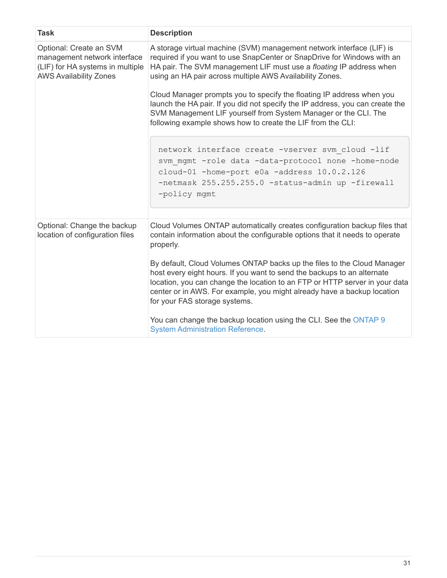| <b>Task</b>                                                                                                                  | <b>Description</b>                                                                                                                                                                                                                                                                                                                                                                                                                                                                                                                                                                                                                     |  |
|------------------------------------------------------------------------------------------------------------------------------|----------------------------------------------------------------------------------------------------------------------------------------------------------------------------------------------------------------------------------------------------------------------------------------------------------------------------------------------------------------------------------------------------------------------------------------------------------------------------------------------------------------------------------------------------------------------------------------------------------------------------------------|--|
| Optional: Create an SVM<br>management network interface<br>(LIF) for HA systems in multiple<br><b>AWS Availability Zones</b> | A storage virtual machine (SVM) management network interface (LIF) is<br>required if you want to use SnapCenter or SnapDrive for Windows with an<br>HA pair. The SVM management LIF must use a floating IP address when<br>using an HA pair across multiple AWS Availability Zones.<br>Cloud Manager prompts you to specify the floating IP address when you<br>launch the HA pair. If you did not specify the IP address, you can create the<br>SVM Management LIF yourself from System Manager or the CLI. The<br>following example shows how to create the LIF from the CLI:                                                        |  |
|                                                                                                                              | network interface create -vserver svm cloud -lif<br>svm mgmt -role data -data-protocol none -home-node<br>cloud-01 -home-port e0a -address 10.0.2.126<br>-netmask 255.255.255.0 -status-admin up -firewall<br>-policy mgmt                                                                                                                                                                                                                                                                                                                                                                                                             |  |
| Optional: Change the backup<br>location of configuration files                                                               | Cloud Volumes ONTAP automatically creates configuration backup files that<br>contain information about the configurable options that it needs to operate<br>properly.<br>By default, Cloud Volumes ONTAP backs up the files to the Cloud Manager<br>host every eight hours. If you want to send the backups to an alternate<br>location, you can change the location to an FTP or HTTP server in your data<br>center or in AWS. For example, you might already have a backup location<br>for your FAS storage systems.<br>You can change the backup location using the CLI. See the ONTAP 9<br><b>System Administration Reference.</b> |  |